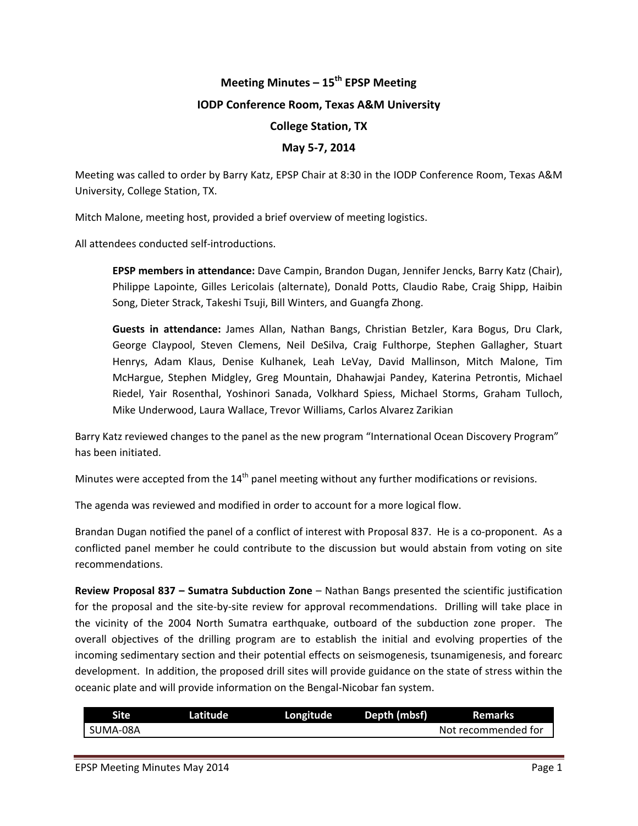# **Meeting Minutes – 15th EPSP Meeting**

### **IODP Conference Room, Texas A&M University**

## **College Station, TX**

## **May 5‐7, 2014**

Meeting was called to order by Barry Katz, EPSP Chair at 8:30 in the IODP Conference Room, Texas A&M University, College Station, TX.

Mitch Malone, meeting host, provided a brief overview of meeting logistics.

All attendees conducted self‐introductions.

**EPSP members in attendance:** Dave Campin, Brandon Dugan, Jennifer Jencks, Barry Katz (Chair), Philippe Lapointe, Gilles Lericolais (alternate), Donald Potts, Claudio Rabe, Craig Shipp, Haibin Song, Dieter Strack, Takeshi Tsuji, Bill Winters, and Guangfa Zhong.

**Guests in attendance:** James Allan, Nathan Bangs, Christian Betzler, Kara Bogus, Dru Clark, George Claypool, Steven Clemens, Neil DeSilva, Craig Fulthorpe, Stephen Gallagher, Stuart Henrys, Adam Klaus, Denise Kulhanek, Leah LeVay, David Mallinson, Mitch Malone, Tim McHargue, Stephen Midgley, Greg Mountain, Dhahawjai Pandey, Katerina Petrontis, Michael Riedel, Yair Rosenthal, Yoshinori Sanada, Volkhard Spiess, Michael Storms, Graham Tulloch, Mike Underwood, Laura Wallace, Trevor Williams, Carlos Alvarez Zarikian

Barry Katz reviewed changes to the panel as the new program "International Ocean Discovery Program" has been initiated.

Minutes were accepted from the  $14<sup>th</sup>$  panel meeting without any further modifications or revisions.

The agenda was reviewed and modified in order to account for a more logical flow.

Brandan Dugan notified the panel of a conflict of interest with Proposal 837. He is a co‐proponent. As a conflicted panel member he could contribute to the discussion but would abstain from voting on site recommendations.

**Review Proposal 837 – Sumatra Subduction Zone** – Nathan Bangs presented the scientific justification for the proposal and the site‐by‐site review for approval recommendations. Drilling will take place in the vicinity of the 2004 North Sumatra earthquake, outboard of the subduction zone proper. The overall objectives of the drilling program are to establish the initial and evolving properties of the incoming sedimentary section and their potential effects on seismogenesis, tsunamigenesis, and forearc development. In addition, the proposed drill sites will provide guidance on the state of stress within the oceanic plate and will provide information on the Bengal‐Nicobar fan system.

| <b>Site</b> | Latitude | Longitude | Depth (mbsf) | <b>Remarks</b>      |
|-------------|----------|-----------|--------------|---------------------|
| SUMA-08A    |          |           |              | Not recommended for |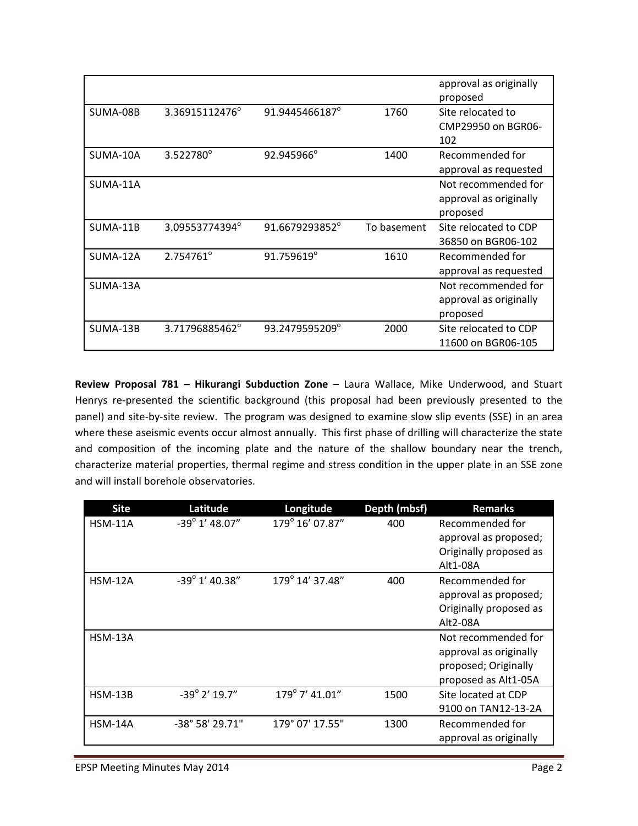|          |                |                |             | approval as originally<br>proposed      |
|----------|----------------|----------------|-------------|-----------------------------------------|
| SUMA-08B | 3.36915112476° | 91.9445466187° | 1760        | Site relocated to<br>CMP29950 on BGR06- |
|          |                |                |             | 102                                     |
| SUMA-10A | 3.522780°      | 92.945966°     | 1400        | Recommended for                         |
|          |                |                |             | approval as requested                   |
| SUMA-11A |                |                |             | Not recommended for                     |
|          |                |                |             | approval as originally                  |
|          |                |                |             | proposed                                |
| SUMA-11B | 3.09553774394° | 91.6679293852° | To basement | Site relocated to CDP                   |
|          |                |                |             | 36850 on BGR06-102                      |
| SUMA-12A | 2.754761°      | 91.759619°     | 1610        | Recommended for                         |
|          |                |                |             | approval as requested                   |
| SUMA-13A |                |                |             | Not recommended for                     |
|          |                |                |             | approval as originally                  |
|          |                |                |             | proposed                                |
| SUMA-13B | 3.71796885462° | 93.2479595209° | 2000        | Site relocated to CDP                   |
|          |                |                |             | 11600 on BGR06-105                      |

**Review Proposal 781 – Hikurangi Subduction Zone** – Laura Wallace, Mike Underwood, and Stuart Henrys re-presented the scientific background (this proposal had been previously presented to the panel) and site-by-site review. The program was designed to examine slow slip events (SSE) in an area where these aseismic events occur almost annually. This first phase of drilling will characterize the state and composition of the incoming plate and the nature of the shallow boundary near the trench, characterize material properties, thermal regime and stress condition in the upper plate in an SSE zone and will install borehole observatories.

| <b>Site</b>    | Latitude                | Longitude       | Depth (mbsf) | <b>Remarks</b>         |
|----------------|-------------------------|-----------------|--------------|------------------------|
| <b>HSM-11A</b> | $-39^{\circ}$ 1' 48.07" | 179° 16' 07.87" | 400          | Recommended for        |
|                |                         |                 |              | approval as proposed;  |
|                |                         |                 |              | Originally proposed as |
|                |                         |                 |              | Alt1-08A               |
| $HSM-12A$      | $-39^{\circ}$ 1' 40.38" | 179° 14' 37.48" | 400          | Recommended for        |
|                |                         |                 |              | approval as proposed;  |
|                |                         |                 |              | Originally proposed as |
|                |                         |                 |              | Alt2-08A               |
| <b>HSM-13A</b> |                         |                 |              | Not recommended for    |
|                |                         |                 |              | approval as originally |
|                |                         |                 |              | proposed; Originally   |
|                |                         |                 |              | proposed as Alt1-05A   |
| <b>HSM-13B</b> | $-39^{\circ}$ 2' 19.7"  | 179° 7' 41.01"  | 1500         | Site located at CDP    |
|                |                         |                 |              | 9100 on TAN12-13-2A    |
| <b>HSM-14A</b> | -38° 58' 29.71"         | 179° 07' 17.55" | 1300         | Recommended for        |
|                |                         |                 |              | approval as originally |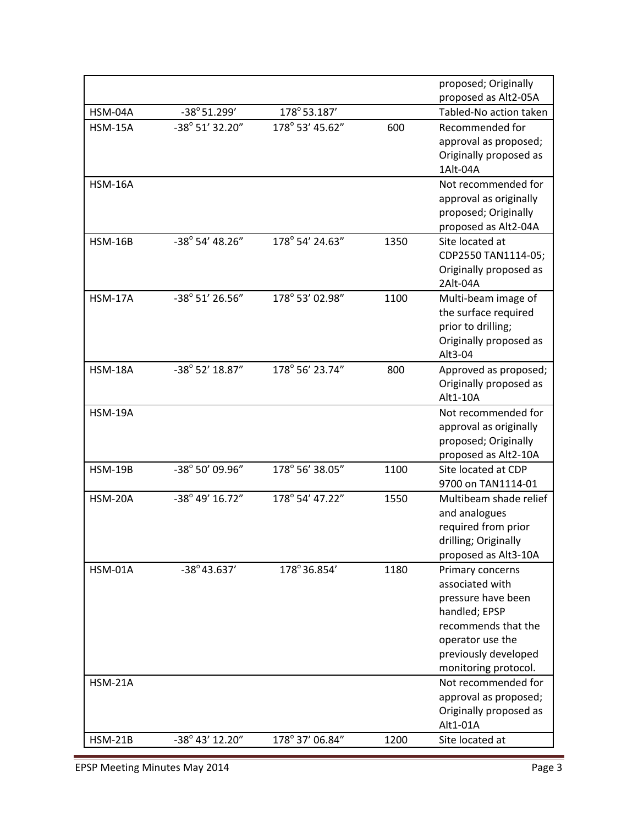|                |                          |                 |      | proposed; Originally                           |
|----------------|--------------------------|-----------------|------|------------------------------------------------|
| HSM-04A        | $-38^{\circ}51.299'$     | 178°53.187'     |      | proposed as Alt2-05A<br>Tabled-No action taken |
| <b>HSM-15A</b> | -38° 51' 32.20"          | 178° 53' 45.62" | 600  | Recommended for                                |
|                |                          |                 |      | approval as proposed;                          |
|                |                          |                 |      | Originally proposed as                         |
|                |                          |                 |      | 1Alt-04A                                       |
| <b>HSM-16A</b> |                          |                 |      | Not recommended for                            |
|                |                          |                 |      | approval as originally                         |
|                |                          |                 |      | proposed; Originally                           |
|                |                          |                 |      | proposed as Alt2-04A                           |
| <b>HSM-16B</b> | $-38^{\circ}$ 54' 48.26" | 178° 54' 24.63" | 1350 | Site located at                                |
|                |                          |                 |      | CDP2550 TAN1114-05;                            |
|                |                          |                 |      | Originally proposed as                         |
|                |                          |                 |      | 2Alt-04A                                       |
| <b>HSM-17A</b> | $-38^{\circ}$ 51' 26.56" | 178° 53' 02.98" | 1100 | Multi-beam image of                            |
|                |                          |                 |      | the surface required                           |
|                |                          |                 |      | prior to drilling;                             |
|                |                          |                 |      | Originally proposed as                         |
|                |                          |                 |      | Alt3-04                                        |
| <b>HSM-18A</b> | $-38^{\circ}$ 52' 18.87" | 178° 56' 23.74" | 800  | Approved as proposed;                          |
|                |                          |                 |      | Originally proposed as                         |
|                |                          |                 |      | Alt1-10A                                       |
| <b>HSM-19A</b> |                          |                 |      | Not recommended for                            |
|                |                          |                 |      | approval as originally                         |
|                |                          |                 |      | proposed; Originally                           |
|                |                          |                 |      | proposed as Alt2-10A                           |
| <b>HSM-19B</b> | -38° 50' 09.96"          | 178° 56' 38.05" | 1100 | Site located at CDP                            |
|                |                          |                 |      | 9700 on TAN1114-01                             |
| <b>HSM-20A</b> | -38° 49' 16.72"          | 178° 54' 47.22" | 1550 | Multibeam shade relief                         |
|                |                          |                 |      | and analogues                                  |
|                |                          |                 |      | required from prior                            |
|                |                          |                 |      | drilling; Originally                           |
|                |                          |                 |      | proposed as Alt3-10A                           |
| <b>HSM-01A</b> | $-38^{\circ}$ 43.637'    | 178°36.854'     | 1180 | Primary concerns<br>associated with            |
|                |                          |                 |      | pressure have been                             |
|                |                          |                 |      | handled; EPSP                                  |
|                |                          |                 |      | recommends that the                            |
|                |                          |                 |      | operator use the                               |
|                |                          |                 |      | previously developed                           |
|                |                          |                 |      | monitoring protocol.                           |
| <b>HSM-21A</b> |                          |                 |      | Not recommended for                            |
|                |                          |                 |      | approval as proposed;                          |
|                |                          |                 |      | Originally proposed as                         |
|                |                          |                 |      | Alt1-01A                                       |
| <b>HSM-21B</b> | $-38^{\circ}$ 43' 12.20" | 178° 37' 06.84" | 1200 | Site located at                                |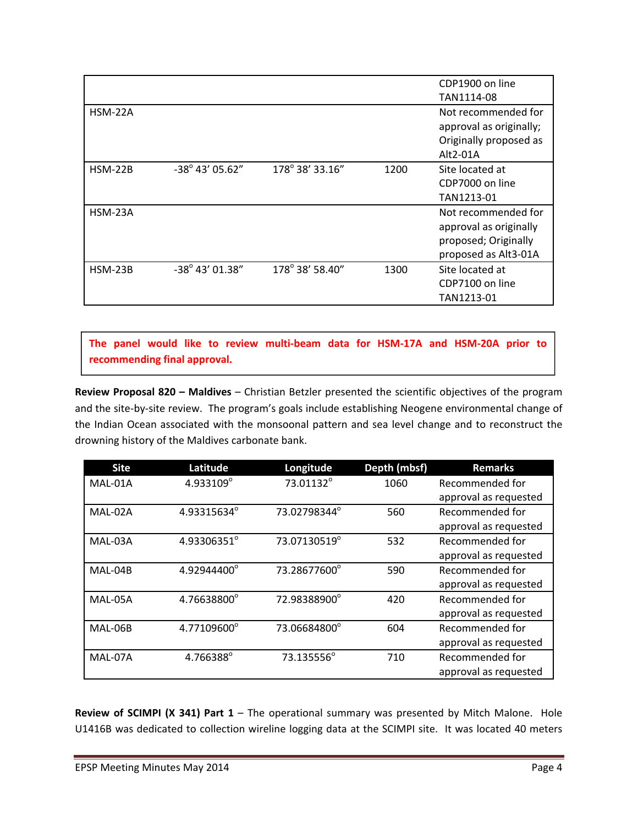|                |                          |                 |      | CDP1900 on line<br>TAN1114-08                                                                 |
|----------------|--------------------------|-----------------|------|-----------------------------------------------------------------------------------------------|
| <b>HSM-22A</b> |                          |                 |      | Not recommended for<br>approval as originally;<br>Originally proposed as<br>$Alt2-01A$        |
| $HSM-22B$      | $-38^{\circ}$ 43' 05.62" | 178° 38' 33.16" | 1200 | Site located at<br>CDP7000 on line<br>TAN1213-01                                              |
| HSM-23A        |                          |                 |      | Not recommended for<br>approval as originally<br>proposed; Originally<br>proposed as Alt3-01A |
| <b>HSM-23B</b> | $-38^{\circ}$ 43' 01.38" | 178° 38' 58.40" | 1300 | Site located at<br>CDP7100 on line<br>TAN1213-01                                              |

**The panel would like to review multi‐beam data for HSM‐17A and HSM‐20A prior to recommending final approval.**

**Review Proposal 820 – Maldives** – Christian Betzler presented the scientific objectives of the program and the site‐by‐site review. The program's goals include establishing Neogene environmental change of the Indian Ocean associated with the monsoonal pattern and sea level change and to reconstruct the drowning history of the Maldives carbonate bank.

| <b>Site</b> | Latitude    | Longitude    | Depth (mbsf) | <b>Remarks</b>        |
|-------------|-------------|--------------|--------------|-----------------------|
| MAL-01A     | 4.933109°   | 73.01132°    | 1060         | Recommended for       |
|             |             |              |              | approval as requested |
| MAL-02A     | 4.93315634° | 73.02798344° | 560          | Recommended for       |
|             |             |              |              | approval as requested |
| MAL-03A     | 4.93306351° | 73.07130519° | 532          | Recommended for       |
|             |             |              |              | approval as requested |
| MAL-04B     | 4.92944400° | 73.28677600° | 590          | Recommended for       |
|             |             |              |              | approval as requested |
| MAL-05A     | 4.76638800° | 72.98388900° | 420          | Recommended for       |
|             |             |              |              | approval as requested |
| MAL-06B     | 4.77109600° | 73.06684800° | 604          | Recommended for       |
|             |             |              |              | approval as requested |
| MAL-07A     | 4.766388°   | 73.135556°   | 710          | Recommended for       |
|             |             |              |              | approval as requested |

**Review of SCIMPI (X 341) Part 1** – The operational summary was presented by Mitch Malone. Hole U1416B was dedicated to collection wireline logging data at the SCIMPI site. It was located 40 meters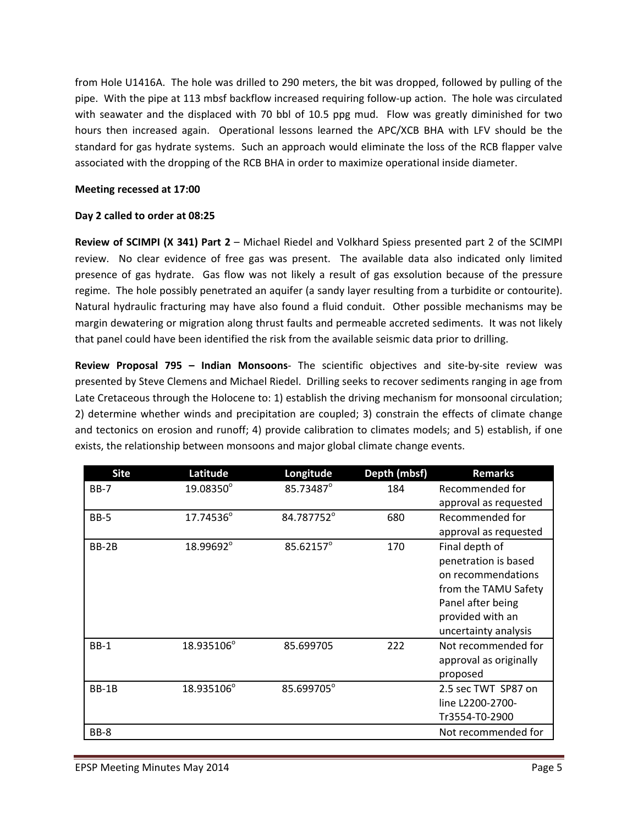from Hole U1416A. The hole was drilled to 290 meters, the bit was dropped, followed by pulling of the pipe. With the pipe at 113 mbsf backflow increased requiring follow‐up action. The hole was circulated with seawater and the displaced with 70 bbl of 10.5 ppg mud. Flow was greatly diminished for two hours then increased again. Operational lessons learned the APC/XCB BHA with LFV should be the standard for gas hydrate systems. Such an approach would eliminate the loss of the RCB flapper valve associated with the dropping of the RCB BHA in order to maximize operational inside diameter.

## **Meeting recessed at 17:00**

## **Day 2 called to order at 08:25**

**Review of SCIMPI (X 341) Part 2** – Michael Riedel and Volkhard Spiess presented part 2 of the SCIMPI review. No clear evidence of free gas was present. The available data also indicated only limited presence of gas hydrate. Gas flow was not likely a result of gas exsolution because of the pressure regime. The hole possibly penetrated an aquifer (a sandy layer resulting from a turbidite or contourite). Natural hydraulic fracturing may have also found a fluid conduit. Other possible mechanisms may be margin dewatering or migration along thrust faults and permeable accreted sediments. It was not likely that panel could have been identified the risk from the available seismic data prior to drilling.

**Review Proposal 795 – Indian Monsoons**‐ The scientific objectives and site‐by‐site review was presented by Steve Clemens and Michael Riedel. Drilling seeks to recover sediments ranging in age from Late Cretaceous through the Holocene to: 1) establish the driving mechanism for monsoonal circulation; 2) determine whether winds and precipitation are coupled; 3) constrain the effects of climate change and tectonics on erosion and runoff; 4) provide calibration to climates models; and 5) establish, if one exists, the relationship between monsoons and major global climate change events.

| <b>Site</b>  | Latitude   | Longitude  | Depth (mbsf) | <b>Remarks</b>         |
|--------------|------------|------------|--------------|------------------------|
| <b>BB-7</b>  | 19.08350°  | 85.73487°  | 184          | Recommended for        |
|              |            |            |              | approval as requested  |
| <b>BB-5</b>  | 17.74536°  | 84.787752° | 680          | Recommended for        |
|              |            |            |              | approval as requested  |
| BB-2B        | 18.99692°  | 85.62157°  | 170          | Final depth of         |
|              |            |            |              | penetration is based   |
|              |            |            |              | on recommendations     |
|              |            |            |              | from the TAMU Safety   |
|              |            |            |              | Panel after being      |
|              |            |            |              | provided with an       |
|              |            |            |              | uncertainty analysis   |
| $BB-1$       | 18.935106° | 85.699705  | 222          | Not recommended for    |
|              |            |            |              | approval as originally |
|              |            |            |              | proposed               |
| <b>BB-1B</b> | 18.935106° | 85.699705° |              | 2.5 sec TWT SP87 on    |
|              |            |            |              | line L2200-2700-       |
|              |            |            |              | Tr3554-T0-2900         |
| BB-8         |            |            |              | Not recommended for    |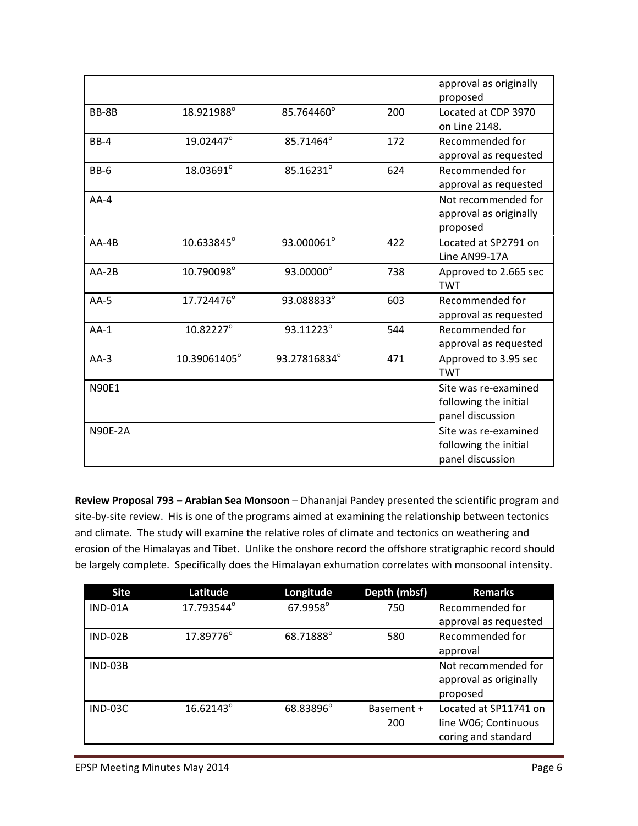|                |              |              |     | approval as originally |
|----------------|--------------|--------------|-----|------------------------|
|                |              |              |     | proposed               |
| BB-8B          | 18.921988°   | 85.764460°   | 200 | Located at CDP 3970    |
|                |              |              |     | on Line 2148.          |
| <b>BB-4</b>    | 19.02447°    | 85.71464°    | 172 | Recommended for        |
|                |              |              |     | approval as requested  |
| <b>BB-6</b>    | 18.03691°    | 85.16231°    | 624 | Recommended for        |
|                |              |              |     | approval as requested  |
| $AA-4$         |              |              |     | Not recommended for    |
|                |              |              |     | approval as originally |
|                |              |              |     | proposed               |
| $AA-4B$        | 10.633845°   | 93.000061°   | 422 | Located at SP2791 on   |
|                |              |              |     | Line AN99-17A          |
| $AA-2B$        | 10.790098°   | 93.00000°    | 738 | Approved to 2.665 sec  |
|                |              |              |     | <b>TWT</b>             |
| $AA-5$         | 17.724476°   | 93.088833°   | 603 | Recommended for        |
|                |              |              |     | approval as requested  |
| $AA-1$         | 10.82227°    | 93.11223°    | 544 | Recommended for        |
|                |              |              |     | approval as requested  |
| $AA-3$         | 10.39061405° | 93.27816834° | 471 | Approved to 3.95 sec   |
|                |              |              |     | <b>TWT</b>             |
| <b>N90E1</b>   |              |              |     | Site was re-examined   |
|                |              |              |     | following the initial  |
|                |              |              |     | panel discussion       |
| <b>N90E-2A</b> |              |              |     | Site was re-examined   |
|                |              |              |     | following the initial  |
|                |              |              |     | panel discussion       |

**Review Proposal 793 – Arabian Sea Monsoon** – Dhananjai Pandey presented the scientific program and site-by-site review. His is one of the programs aimed at examining the relationship between tectonics and climate. The study will examine the relative roles of climate and tectonics on weathering and erosion of the Himalayas and Tibet. Unlike the onshore record the offshore stratigraphic record should be largely complete. Specifically does the Himalayan exhumation correlates with monsoonal intensity.

| <b>Site</b>    | Latitude   | Longitude | Depth (mbsf) | <b>Remarks</b>         |
|----------------|------------|-----------|--------------|------------------------|
| IND-01A        | 17.793544° | 67.9958°  | 750          | Recommended for        |
|                |            |           |              | approval as requested  |
| <b>IND-02B</b> | 17.89776°  | 68.71888° | 580          | Recommended for        |
|                |            |           |              | approval               |
| $IND-03B$      |            |           |              | Not recommended for    |
|                |            |           |              | approval as originally |
|                |            |           |              | proposed               |
| $IND-03C$      | 16.62143°  | 68.83896° | Basement +   | Located at SP11741 on  |
|                |            |           | 200          | line W06; Continuous   |
|                |            |           |              | coring and standard    |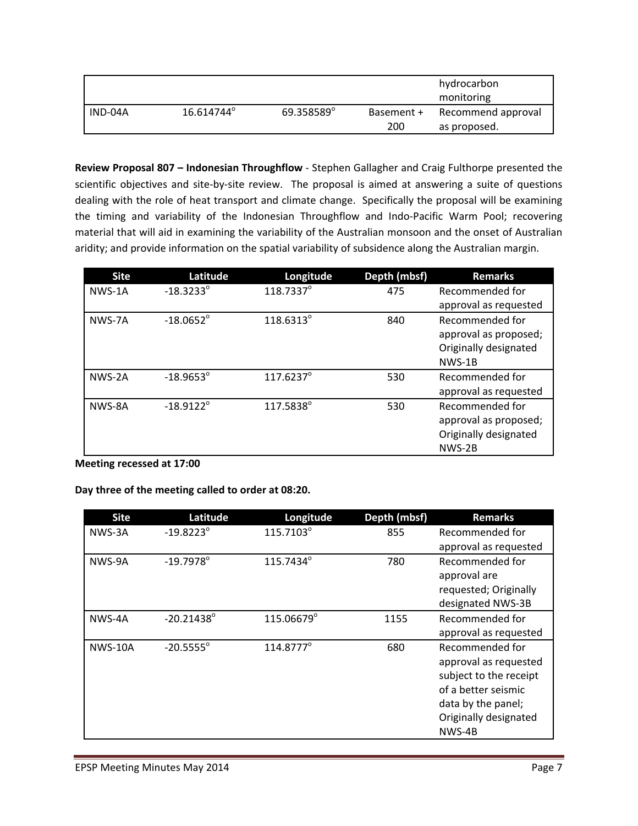|         |                        |            |                   | hydrocarbon<br>monitoring          |
|---------|------------------------|------------|-------------------|------------------------------------|
| IND-04A | 16.614744 <sup>°</sup> | 69.358589° | Basement +<br>200 | Recommend approval<br>as proposed. |

**Review Proposal 807 – Indonesian Throughflow** ‐ Stephen Gallagher and Craig Fulthorpe presented the scientific objectives and site-by-site review. The proposal is aimed at answering a suite of questions dealing with the role of heat transport and climate change. Specifically the proposal will be examining the timing and variability of the Indonesian Throughflow and Indo‐Pacific Warm Pool; recovering material that will aid in examining the variability of the Australian monsoon and the onset of Australian aridity; and provide information on the spatial variability of subsidence along the Australian margin.

| <b>Site</b> | Latitude           | Longitude          | Depth (mbsf) | <b>Remarks</b>        |
|-------------|--------------------|--------------------|--------------|-----------------------|
| NWS-1A      | $-18.3233^{\circ}$ | 118.7337°          | 475          | Recommended for       |
|             |                    |                    |              | approval as requested |
| NWS-7A      | $-18.0652^{\circ}$ | 118.6313°          | 840          | Recommended for       |
|             |                    |                    |              | approval as proposed; |
|             |                    |                    |              | Originally designated |
|             |                    |                    |              | NWS-1B                |
| NWS-2A      | $-18.9653^{\circ}$ | $117.6237^{\circ}$ | 530          | Recommended for       |
|             |                    |                    |              | approval as requested |
| NWS-8A      | $-18.9122^{\circ}$ | 117.5838°          | 530          | Recommended for       |
|             |                    |                    |              | approval as proposed; |
|             |                    |                    |              | Originally designated |
|             |                    |                    |              | NWS-2B                |

**Meeting recessed at 17:00**

**Day three of the meeting called to order at 08:20.**

| <b>Site</b>    | Latitude            | Longitude             | Depth (mbsf) | <b>Remarks</b>         |
|----------------|---------------------|-----------------------|--------------|------------------------|
| NWS-3A         | $-19.8223^{\circ}$  | 115.7103°             | 855          | Recommended for        |
|                |                     |                       |              | approval as requested  |
| NWS-9A         | $-19.7978$ °        | 115.7434°             | 780          | Recommended for        |
|                |                     |                       |              | approval are           |
|                |                     |                       |              | requested; Originally  |
|                |                     |                       |              | designated NWS-3B      |
| NWS-4A         | $-20.21438^{\circ}$ | 115.06679°            | 1155         | Recommended for        |
|                |                     |                       |              | approval as requested  |
| <b>NWS-10A</b> | $-20.5555^{\circ}$  | 114.8777 <sup>°</sup> | 680          | Recommended for        |
|                |                     |                       |              | approval as requested  |
|                |                     |                       |              | subject to the receipt |
|                |                     |                       |              | of a better seismic    |
|                |                     |                       |              | data by the panel;     |
|                |                     |                       |              | Originally designated  |
|                |                     |                       |              | NWS-4B                 |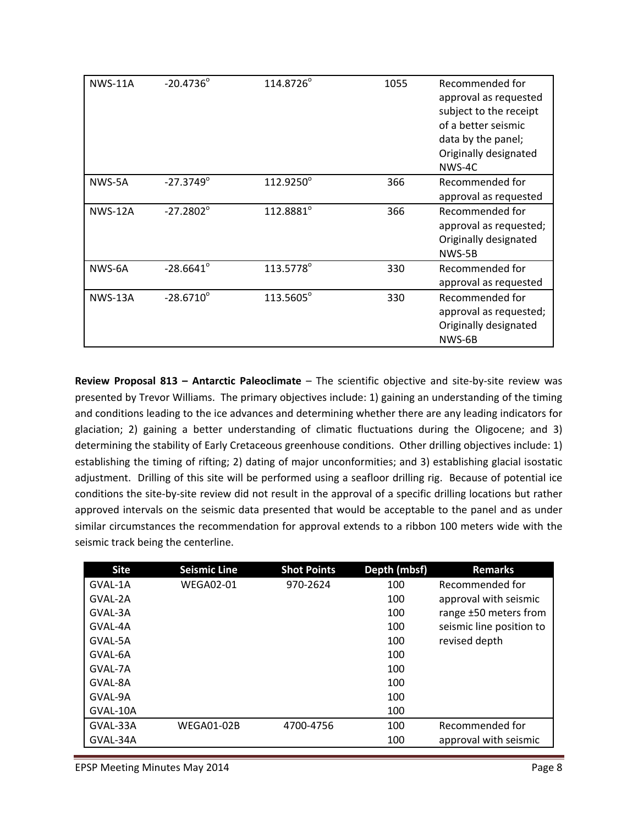| <b>NWS-11A</b> | $-20.4736^{\circ}$ | 114.8726° | 1055 | Recommended for<br>approval as requested<br>subject to the receipt<br>of a better seismic<br>data by the panel;<br>Originally designated<br>NWS-4C |
|----------------|--------------------|-----------|------|----------------------------------------------------------------------------------------------------------------------------------------------------|
| NWS-5A         | $-27.3749^{\circ}$ | 112.9250° | 366  | Recommended for<br>approval as requested                                                                                                           |
| <b>NWS-12A</b> | $-27.2802^{\circ}$ | 112.8881° | 366  | Recommended for<br>approval as requested;<br>Originally designated<br>NWS-5B                                                                       |
| NWS-6A         | $-28.6641^{\circ}$ | 113.5778° | 330  | Recommended for<br>approval as requested                                                                                                           |
| <b>NWS-13A</b> | $-28.6710^{\circ}$ | 113.5605° | 330  | Recommended for<br>approval as requested;<br>Originally designated<br>NWS-6B                                                                       |

**Review Proposal 813 – Antarctic Paleoclimate** – The scientific objective and site‐by‐site review was presented by Trevor Williams. The primary objectives include: 1) gaining an understanding of the timing and conditions leading to the ice advances and determining whether there are any leading indicators for glaciation; 2) gaining a better understanding of climatic fluctuations during the Oligocene; and 3) determining the stability of Early Cretaceous greenhouse conditions. Other drilling objectives include: 1) establishing the timing of rifting; 2) dating of major unconformities; and 3) establishing glacial isostatic adjustment. Drilling of this site will be performed using a seafloor drilling rig. Because of potential ice conditions the site‐by‐site review did not result in the approval of a specific drilling locations but rather approved intervals on the seismic data presented that would be acceptable to the panel and as under similar circumstances the recommendation for approval extends to a ribbon 100 meters wide with the seismic track being the centerline.

| <b>Site</b> | <b>Seismic Line</b> | <b>Shot Points</b> | Depth (mbsf) | <b>Remarks</b>           |
|-------------|---------------------|--------------------|--------------|--------------------------|
| GVAL-1A     | <b>WEGA02-01</b>    | 970-2624           | 100          | Recommended for          |
| GVAL-2A     |                     |                    | 100          | approval with seismic    |
| GVAL-3A     |                     |                    | 100          | range ±50 meters from    |
| GVAL-4A     |                     |                    | 100          | seismic line position to |
| GVAL-5A     |                     |                    | 100          | revised depth            |
| GVAL-6A     |                     |                    | 100          |                          |
| GVAL-7A     |                     |                    | 100          |                          |
| GVAL-8A     |                     |                    | 100          |                          |
| GVAL-9A     |                     |                    | 100          |                          |
| GVAL-10A    |                     |                    | 100          |                          |
| GVAL-33A    | <b>WEGA01-02B</b>   | 4700-4756          | 100          | Recommended for          |
| GVAL-34A    |                     |                    | 100          | approval with seismic    |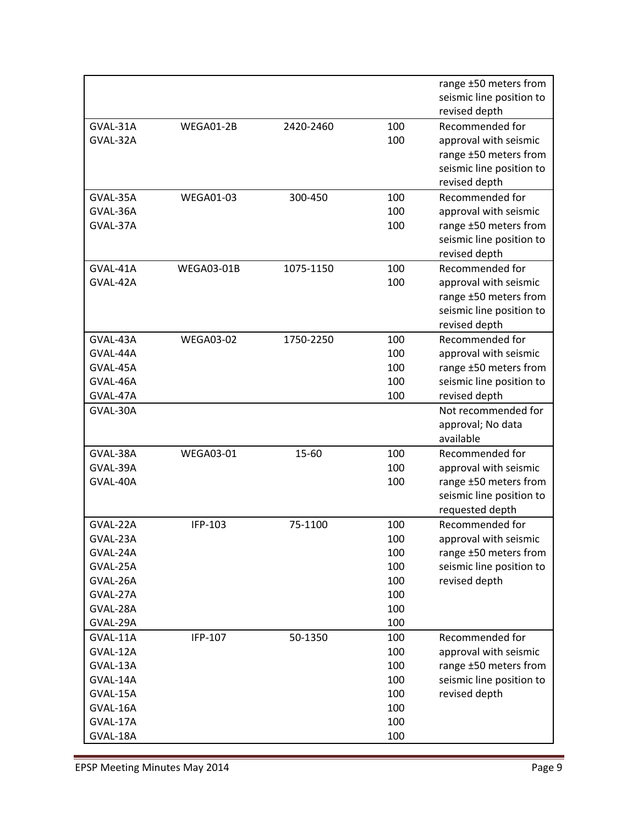|          |                   |           |     | range ±50 meters from      |
|----------|-------------------|-----------|-----|----------------------------|
|          |                   |           |     | seismic line position to   |
|          |                   |           |     | revised depth              |
| GVAL-31A | WEGA01-2B         | 2420-2460 | 100 | Recommended for            |
| GVAL-32A |                   |           | 100 | approval with seismic      |
|          |                   |           |     | range ±50 meters from      |
|          |                   |           |     | seismic line position to   |
|          |                   |           |     | revised depth              |
| GVAL-35A | <b>WEGA01-03</b>  | 300-450   | 100 | Recommended for            |
| GVAL-36A |                   |           | 100 | approval with seismic      |
| GVAL-37A |                   |           | 100 | range ±50 meters from      |
|          |                   |           |     | seismic line position to   |
|          |                   |           |     | revised depth              |
| GVAL-41A | <b>WEGA03-01B</b> | 1075-1150 | 100 | Recommended for            |
| GVAL-42A |                   |           | 100 | approval with seismic      |
|          |                   |           |     | range ±50 meters from      |
|          |                   |           |     | seismic line position to   |
|          |                   |           |     | revised depth              |
| GVAL-43A | <b>WEGA03-02</b>  | 1750-2250 | 100 | Recommended for            |
| GVAL-44A |                   |           | 100 | approval with seismic      |
| GVAL-45A |                   |           | 100 | range ±50 meters from      |
| GVAL-46A |                   |           | 100 | seismic line position to   |
| GVAL-47A |                   |           | 100 | revised depth              |
| GVAL-30A |                   |           |     | Not recommended for        |
|          |                   |           |     | approval; No data          |
|          |                   |           |     | available                  |
| GVAL-38A | <b>WEGA03-01</b>  | 15-60     | 100 | Recommended for            |
| GVAL-39A |                   |           | 100 | approval with seismic      |
| GVAL-40A |                   |           | 100 | range $\pm 50$ meters from |
|          |                   |           |     | seismic line position to   |
|          |                   |           |     | requested depth            |
| GVAL-22A | IFP-103           | 75-1100   | 100 | Recommended for            |
| GVAL-23A |                   |           | 100 | approval with seismic      |
| GVAL-24A |                   |           | 100 | range ±50 meters from      |
| GVAL-25A |                   |           | 100 | seismic line position to   |
| GVAL-26A |                   |           | 100 | revised depth              |
| GVAL-27A |                   |           | 100 |                            |
| GVAL-28A |                   |           | 100 |                            |
| GVAL-29A |                   |           | 100 |                            |
| GVAL-11A | IFP-107           | 50-1350   | 100 | Recommended for            |
| GVAL-12A |                   |           | 100 | approval with seismic      |
| GVAL-13A |                   |           | 100 | range ±50 meters from      |
| GVAL-14A |                   |           | 100 | seismic line position to   |
| GVAL-15A |                   |           | 100 | revised depth              |
| GVAL-16A |                   |           | 100 |                            |
| GVAL-17A |                   |           | 100 |                            |
| GVAL-18A |                   |           | 100 |                            |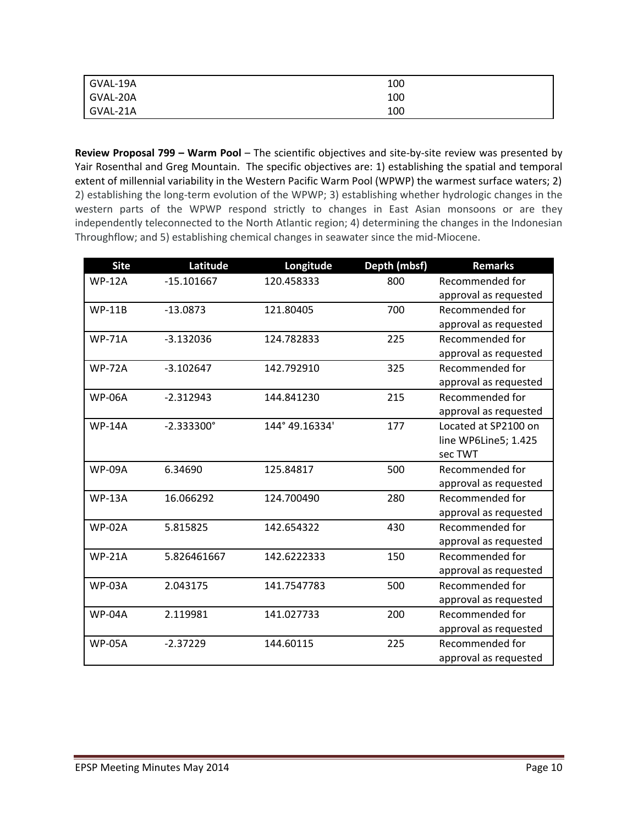| GVAL-19A | 100 |
|----------|-----|
| GVAL-20A | 100 |
| GVAL-21A | 100 |

**Review Proposal 799 – Warm Pool** – The scientific objectives and site‐by‐site review was presented by Yair Rosenthal and Greg Mountain. The specific objectives are: 1) establishing the spatial and temporal extent of millennial variability in the Western Pacific Warm Pool (WPWP) the warmest surface waters; 2) 2) establishing the long-term evolution of the WPWP; 3) establishing whether hydrologic changes in the western parts of the WPWP respond strictly to changes in East Asian monsoons or are they independently teleconnected to the North Atlantic region; 4) determining the changes in the Indonesian Throughflow; and 5) establishing chemical changes in seawater since the mid‐Miocene.

| <b>Site</b>   | Latitude            | Longitude      | Depth (mbsf) | <b>Remarks</b>        |
|---------------|---------------------|----------------|--------------|-----------------------|
| <b>WP-12A</b> | $-15.101667$        | 120.458333     | 800          | Recommended for       |
|               |                     |                |              | approval as requested |
| <b>WP-11B</b> | $-13.0873$          | 121.80405      | 700          | Recommended for       |
|               |                     |                |              | approval as requested |
| <b>WP-71A</b> | $-3.132036$         | 124.782833     | 225          | Recommended for       |
|               |                     |                |              | approval as requested |
| <b>WP-72A</b> | $-3.102647$         | 142.792910     | 325          | Recommended for       |
|               |                     |                |              | approval as requested |
| <b>WP-06A</b> | $-2.312943$         | 144.841230     | 215          | Recommended for       |
|               |                     |                |              | approval as requested |
| <b>WP-14A</b> | $-2.333300^{\circ}$ | 144° 49.16334' | 177          | Located at SP2100 on  |
|               |                     |                |              | line WP6Line5; 1.425  |
|               |                     |                |              | sec TWT               |
| <b>WP-09A</b> | 6.34690             | 125.84817      | 500          | Recommended for       |
|               |                     |                |              | approval as requested |
| <b>WP-13A</b> | 16.066292           | 124.700490     | 280          | Recommended for       |
|               |                     |                |              | approval as requested |
| <b>WP-02A</b> | 5.815825            | 142.654322     | 430          | Recommended for       |
|               |                     |                |              | approval as requested |
| <b>WP-21A</b> | 5.826461667         | 142.6222333    | 150          | Recommended for       |
|               |                     |                |              | approval as requested |
| <b>WP-03A</b> | 2.043175            | 141.7547783    | 500          | Recommended for       |
|               |                     |                |              | approval as requested |
| <b>WP-04A</b> | 2.119981            | 141.027733     | 200          | Recommended for       |
|               |                     |                |              | approval as requested |
| <b>WP-05A</b> | $-2.37229$          | 144.60115      | 225          | Recommended for       |
|               |                     |                |              | approval as requested |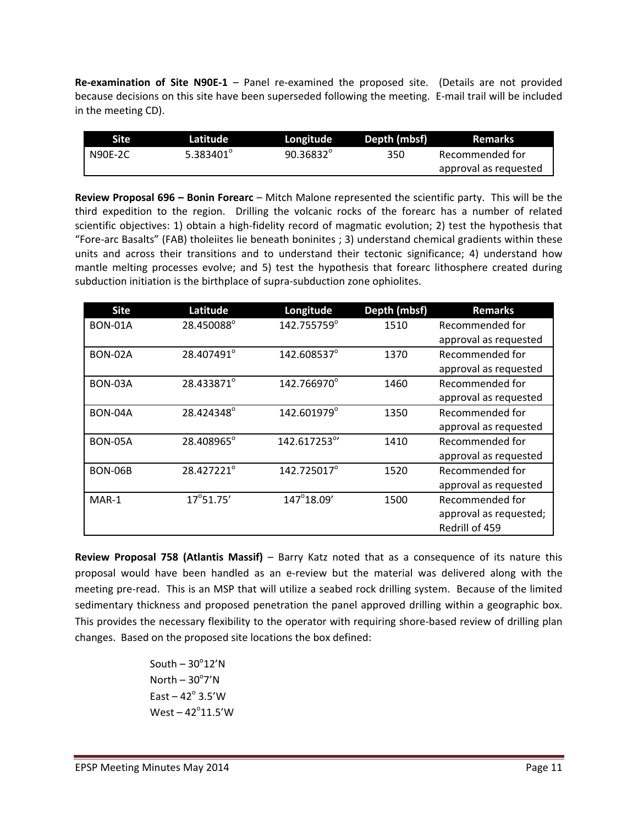**Re‐examination of Site N90E‐1** – Panel re‐examined the proposed site. (Details are not provided because decisions on this site have been superseded following the meeting. E‐mail trail will be included in the meeting CD).

| <b>Site</b>    | Latitude            | Longitude          | Depth (mbsf) | Remarks               |
|----------------|---------------------|--------------------|--------------|-----------------------|
| <b>N90E-2C</b> | 5.383401 $^{\circ}$ | $90.36832^{\circ}$ | 350          | Recommended for       |
|                |                     |                    |              | approval as requested |

**Review Proposal 696 – Bonin Forearc** – Mitch Malone represented the scientific party. This will be the third expedition to the region. Drilling the volcanic rocks of the forearc has a number of related scientific objectives: 1) obtain a high-fidelity record of magmatic evolution; 2) test the hypothesis that "Fore‐arc Basalts" (FAB) tholeiites lie beneath boninites ; 3) understand chemical gradients within these units and across their transitions and to understand their tectonic significance; 4) understand how mantle melting processes evolve; and 5) test the hypothesis that forearc lithosphere created during subduction initiation is the birthplace of supra-subduction zone ophiolites.

| <b>Site</b>    | Latitude           | Longitude    | Depth (mbsf) | <b>Remarks</b>         |
|----------------|--------------------|--------------|--------------|------------------------|
| <b>BON-01A</b> | 28.450088°         | 142.755759°  | 1510         | Recommended for        |
|                |                    |              |              | approval as requested  |
| <b>BON-02A</b> | 28.407491°         | 142.608537°  | 1370         | Recommended for        |
|                |                    |              |              | approval as requested  |
| BON-03A        | 28.433871°         | 142.766970°  | 1460         | Recommended for        |
|                |                    |              |              | approval as requested  |
| BON-04A        | 28.424348°         | 142.601979°  | 1350         | Recommended for        |
|                |                    |              |              | approval as requested  |
| <b>BON-05A</b> | 28.408965°         | 142.617253°' | 1410         | Recommended for        |
|                |                    |              |              | approval as requested  |
| <b>BON-06B</b> | 28.427221°         | 142.725017°  | 1520         | Recommended for        |
|                |                    |              |              | approval as requested  |
| MAR-1          | $17^{\circ}51.75'$ | 147°18.09'   | 1500         | Recommended for        |
|                |                    |              |              | approval as requested; |
|                |                    |              |              | Redrill of 459         |

**Review Proposal 758 (Atlantis Massif)** – Barry Katz noted that as a consequence of its nature this proposal would have been handled as an e‐review but the material was delivered along with the meeting pre-read. This is an MSP that will utilize a seabed rock drilling system. Because of the limited sedimentary thickness and proposed penetration the panel approved drilling within a geographic box. This provides the necessary flexibility to the operator with requiring shore-based review of drilling plan changes. Based on the proposed site locations the box defined:

> $South - 30°12'$ N  $North - 30^{\circ}7'N$ East –  $42^\circ$  3.5'W  $West - 42^{\circ}11.5'W$